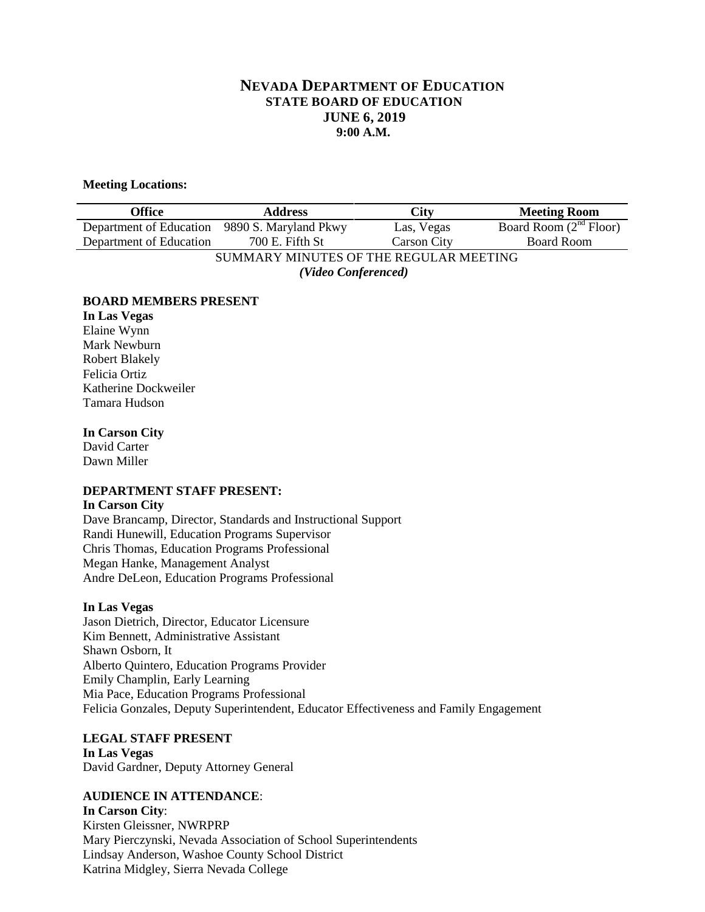# **NEVADA DEPARTMENT OF EDUCATION STATE BOARD OF EDUCATION JUNE 6, 2019 9:00 A.M.**

#### **Meeting Locations:**

| Office                                        | <b>Address</b>  | City               | <b>Meeting Room</b>      |
|-----------------------------------------------|-----------------|--------------------|--------------------------|
| Department of Education 9890 S. Maryland Pkwy |                 | Las, Vegas         | Board Room $(2nd$ Floor) |
| Department of Education                       | 700 E. Fifth St | <b>Carson City</b> | <b>Board Room</b>        |
| SUMMARY MINUTES OF THE REGULAR MEETING        |                 |                    |                          |
| (Video Conferenced)                           |                 |                    |                          |

#### **BOARD MEMBERS PRESENT**

**In Las Vegas** Elaine Wynn Mark Newburn Robert Blakely Felicia Ortiz Katherine Dockweiler Tamara Hudson

#### **In Carson City**

David Carter Dawn Miller

# **DEPARTMENT STAFF PRESENT:**

#### **In Carson City**

Dave Brancamp, Director, Standards and Instructional Support Randi Hunewill, Education Programs Supervisor Chris Thomas, Education Programs Professional Megan Hanke, Management Analyst Andre DeLeon, Education Programs Professional

#### **In Las Vegas**

Jason Dietrich, Director, Educator Licensure Kim Bennett, Administrative Assistant Shawn Osborn, It Alberto Quintero, Education Programs Provider Emily Champlin, Early Learning Mia Pace, Education Programs Professional Felicia Gonzales, Deputy Superintendent, Educator Effectiveness and Family Engagement

# **LEGAL STAFF PRESENT**

**In Las Vegas** David Gardner, Deputy Attorney General

# **AUDIENCE IN ATTENDANCE**:

**In Carson City**: Kirsten Gleissner, NWRPRP Mary Pierczynski, Nevada Association of School Superintendents Lindsay Anderson, Washoe County School District Katrina Midgley, Sierra Nevada College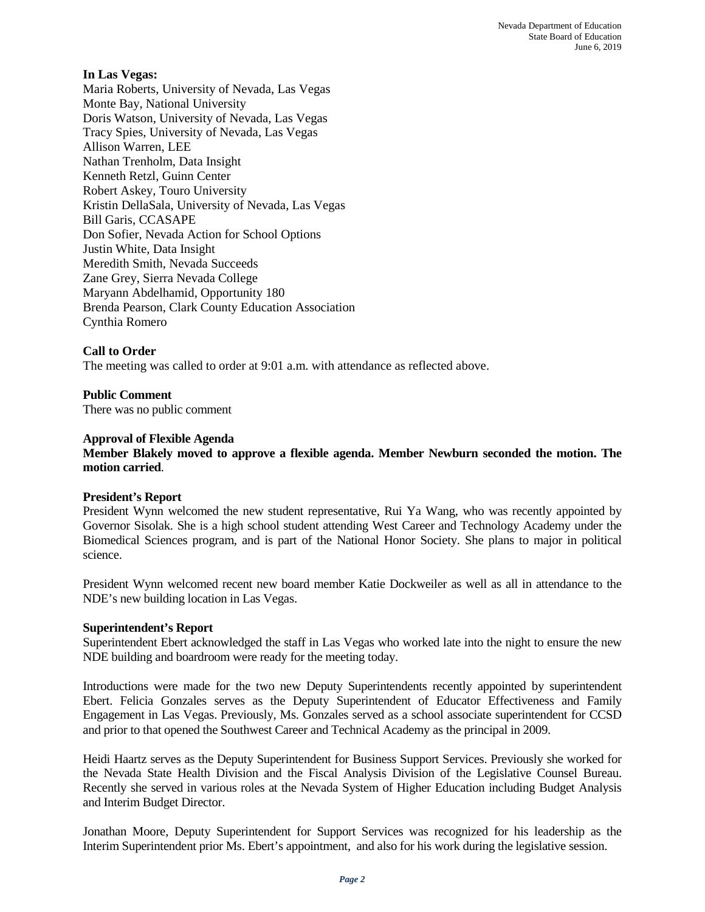#### **In Las Vegas:**

Maria Roberts, University of Nevada, Las Vegas Monte Bay, National University Doris Watson, University of Nevada, Las Vegas Tracy Spies, University of Nevada, Las Vegas Allison Warren, LEE Nathan Trenholm, Data Insight Kenneth Retzl, Guinn Center Robert Askey, Touro University Kristin DellaSala, University of Nevada, Las Vegas Bill Garis, CCASAPE Don Sofier, Nevada Action for School Options Justin White, Data Insight Meredith Smith, Nevada Succeeds Zane Grey, Sierra Nevada College Maryann Abdelhamid, Opportunity 180 Brenda Pearson, Clark County Education Association Cynthia Romero

# **Call to Order**

The meeting was called to order at 9:01 a.m. with attendance as reflected above.

# **Public Comment**

There was no public comment

#### **Approval of Flexible Agenda**

**Member Blakely moved to approve a flexible agenda. Member Newburn seconded the motion. The motion carried**.

#### **President's Report**

President Wynn welcomed the new student representative, Rui Ya Wang, who was recently appointed by Governor Sisolak. She is a high school student attending West Career and Technology Academy under the Biomedical Sciences program, and is part of the National Honor Society. She plans to major in political science.

President Wynn welcomed recent new board member Katie Dockweiler as well as all in attendance to the NDE's new building location in Las Vegas.

#### **Superintendent's Report**

Superintendent Ebert acknowledged the staff in Las Vegas who worked late into the night to ensure the new NDE building and boardroom were ready for the meeting today.

Introductions were made for the two new Deputy Superintendents recently appointed by superintendent Ebert. Felicia Gonzales serves as the Deputy Superintendent of Educator Effectiveness and Family Engagement in Las Vegas. Previously, Ms. Gonzales served as a school associate superintendent for CCSD and prior to that opened the Southwest Career and Technical Academy as the principal in 2009.

Heidi Haartz serves as the Deputy Superintendent for Business Support Services. Previously she worked for the Nevada State Health Division and the Fiscal Analysis Division of the Legislative Counsel Bureau. Recently she served in various roles at the Nevada System of Higher Education including Budget Analysis and Interim Budget Director.

Jonathan Moore, Deputy Superintendent for Support Services was recognized for his leadership as the Interim Superintendent prior Ms. Ebert's appointment, and also for his work during the legislative session.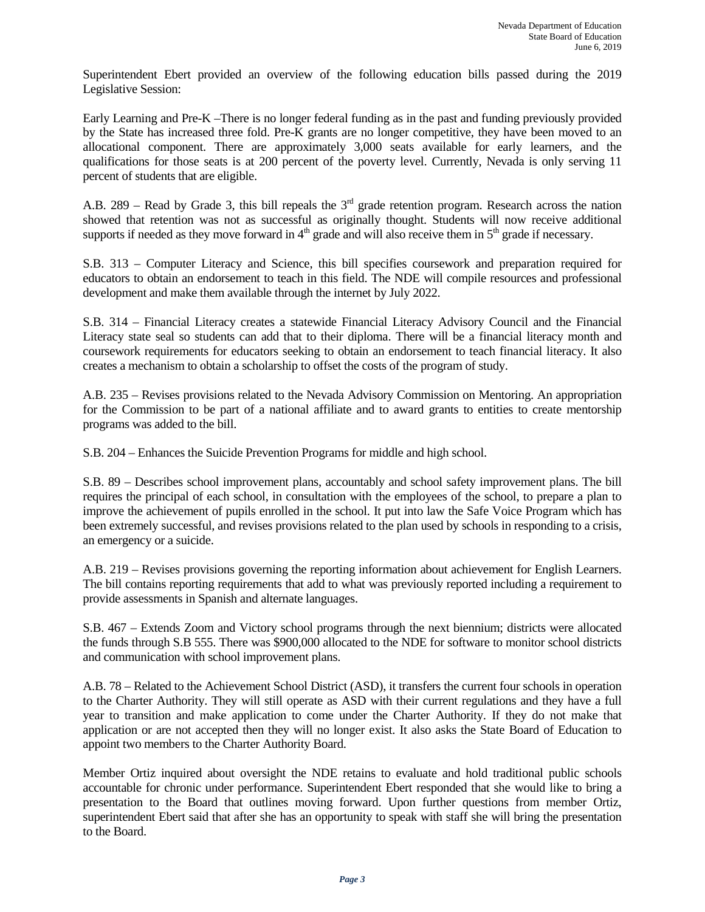Superintendent Ebert provided an overview of the following education bills passed during the 2019 Legislative Session:

Early Learning and Pre-K –There is no longer federal funding as in the past and funding previously provided by the State has increased three fold. Pre-K grants are no longer competitive, they have been moved to an allocational component. There are approximately 3,000 seats available for early learners, and the qualifications for those seats is at 200 percent of the poverty level. Currently, Nevada is only serving 11 percent of students that are eligible.

A.B. 289 – Read by Grade 3, this bill repeals the  $3<sup>rd</sup>$  grade retention program. Research across the nation showed that retention was not as successful as originally thought. Students will now receive additional supports if needed as they move forward in  $4<sup>th</sup>$  grade and will also receive them in  $5<sup>th</sup>$  grade if necessary.

S.B. 313 – Computer Literacy and Science, this bill specifies coursework and preparation required for educators to obtain an endorsement to teach in this field. The NDE will compile resources and professional development and make them available through the internet by July 2022.

S.B. 314 – Financial Literacy creates a statewide Financial Literacy Advisory Council and the Financial Literacy state seal so students can add that to their diploma. There will be a financial literacy month and coursework requirements for educators seeking to obtain an endorsement to teach financial literacy. It also creates a mechanism to obtain a scholarship to offset the costs of the program of study.

A.B. 235 – Revises provisions related to the Nevada Advisory Commission on Mentoring. An appropriation for the Commission to be part of a national affiliate and to award grants to entities to create mentorship programs was added to the bill.

S.B. 204 – Enhances the Suicide Prevention Programs for middle and high school.

S.B. 89 – Describes school improvement plans, accountably and school safety improvement plans. The bill requires the principal of each school, in consultation with the employees of the school, to prepare a plan to improve the achievement of pupils enrolled in the school. It put into law the Safe Voice Program which has been extremely successful, and revises provisions related to the plan used by schools in responding to a crisis, an emergency or a suicide.

A.B. 219 – Revises provisions governing the reporting information about achievement for English Learners. The bill contains reporting requirements that add to what was previously reported including a requirement to provide assessments in Spanish and alternate languages.

S.B. 467 – Extends Zoom and Victory school programs through the next biennium; districts were allocated the funds through S.B 555. There was \$900,000 allocated to the NDE for software to monitor school districts and communication with school improvement plans.

A.B. 78 – Related to the Achievement School District (ASD), it transfers the current four schools in operation to the Charter Authority. They will still operate as ASD with their current regulations and they have a full year to transition and make application to come under the Charter Authority. If they do not make that application or are not accepted then they will no longer exist. It also asks the State Board of Education to appoint two members to the Charter Authority Board.

Member Ortiz inquired about oversight the NDE retains to evaluate and hold traditional public schools accountable for chronic under performance. Superintendent Ebert responded that she would like to bring a presentation to the Board that outlines moving forward. Upon further questions from member Ortiz, superintendent Ebert said that after she has an opportunity to speak with staff she will bring the presentation to the Board.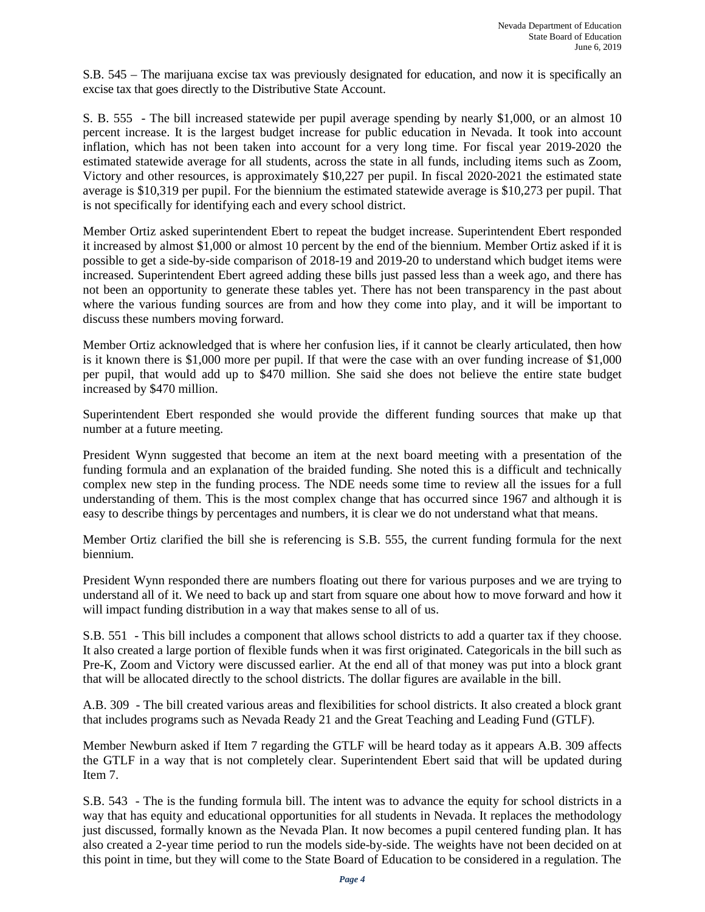S.B. 545 – The marijuana excise tax was previously designated for education, and now it is specifically an excise tax that goes directly to the Distributive State Account.

S. B. 555 - The bill increased statewide per pupil average spending by nearly \$1,000, or an almost 10 percent increase. It is the largest budget increase for public education in Nevada. It took into account inflation, which has not been taken into account for a very long time. For fiscal year 2019-2020 the estimated statewide average for all students, across the state in all funds, including items such as Zoom, Victory and other resources, is approximately \$10,227 per pupil. In fiscal 2020-2021 the estimated state average is \$10,319 per pupil. For the biennium the estimated statewide average is \$10,273 per pupil. That is not specifically for identifying each and every school district.

Member Ortiz asked superintendent Ebert to repeat the budget increase. Superintendent Ebert responded it increased by almost \$1,000 or almost 10 percent by the end of the biennium. Member Ortiz asked if it is possible to get a side-by-side comparison of 2018-19 and 2019-20 to understand which budget items were increased. Superintendent Ebert agreed adding these bills just passed less than a week ago, and there has not been an opportunity to generate these tables yet. There has not been transparency in the past about where the various funding sources are from and how they come into play, and it will be important to discuss these numbers moving forward.

Member Ortiz acknowledged that is where her confusion lies, if it cannot be clearly articulated, then how is it known there is \$1,000 more per pupil. If that were the case with an over funding increase of \$1,000 per pupil, that would add up to \$470 million. She said she does not believe the entire state budget increased by \$470 million.

Superintendent Ebert responded she would provide the different funding sources that make up that number at a future meeting.

President Wynn suggested that become an item at the next board meeting with a presentation of the funding formula and an explanation of the braided funding. She noted this is a difficult and technically complex new step in the funding process. The NDE needs some time to review all the issues for a full understanding of them. This is the most complex change that has occurred since 1967 and although it is easy to describe things by percentages and numbers, it is clear we do not understand what that means.

Member Ortiz clarified the bill she is referencing is S.B. 555, the current funding formula for the next biennium.

President Wynn responded there are numbers floating out there for various purposes and we are trying to understand all of it. We need to back up and start from square one about how to move forward and how it will impact funding distribution in a way that makes sense to all of us.

S.B. 551 - This bill includes a component that allows school districts to add a quarter tax if they choose. It also created a large portion of flexible funds when it was first originated. Categoricals in the bill such as Pre-K, Zoom and Victory were discussed earlier. At the end all of that money was put into a block grant that will be allocated directly to the school districts. The dollar figures are available in the bill.

A.B. 309 - The bill created various areas and flexibilities for school districts. It also created a block grant that includes programs such as Nevada Ready 21 and the Great Teaching and Leading Fund (GTLF).

Member Newburn asked if Item 7 regarding the GTLF will be heard today as it appears A.B. 309 affects the GTLF in a way that is not completely clear. Superintendent Ebert said that will be updated during Item 7.

S.B. 543 - The is the funding formula bill. The intent was to advance the equity for school districts in a way that has equity and educational opportunities for all students in Nevada. It replaces the methodology just discussed, formally known as the Nevada Plan. It now becomes a pupil centered funding plan. It has also created a 2-year time period to run the models side-by-side. The weights have not been decided on at this point in time, but they will come to the State Board of Education to be considered in a regulation. The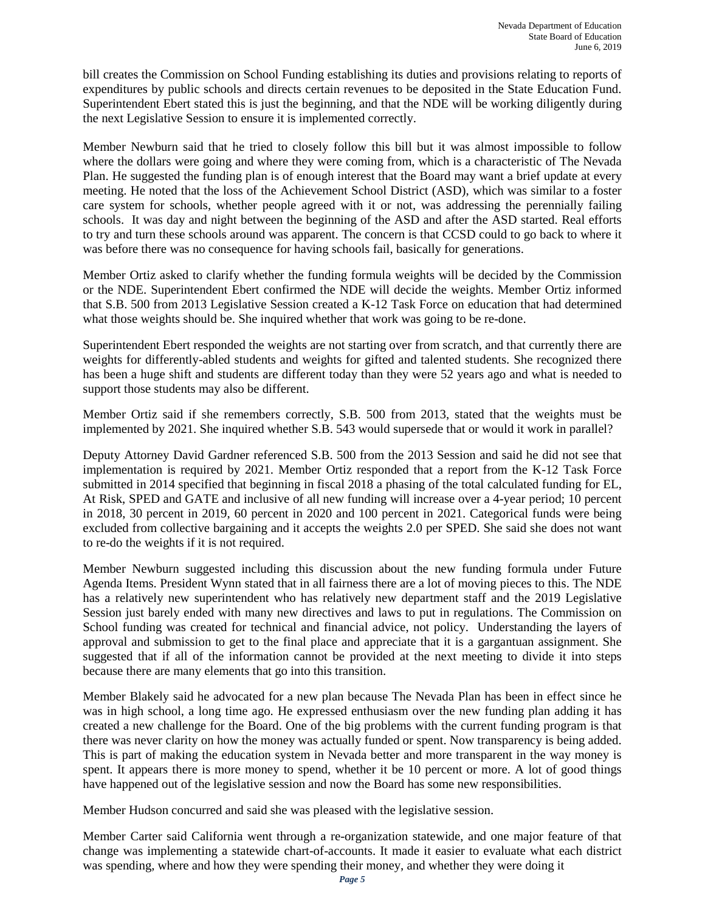bill creates the Commission on School Funding establishing its duties and provisions relating to reports of expenditures by public schools and directs certain revenues to be deposited in the State Education Fund. Superintendent Ebert stated this is just the beginning, and that the NDE will be working diligently during the next Legislative Session to ensure it is implemented correctly.

Member Newburn said that he tried to closely follow this bill but it was almost impossible to follow where the dollars were going and where they were coming from, which is a characteristic of The Nevada Plan. He suggested the funding plan is of enough interest that the Board may want a brief update at every meeting. He noted that the loss of the Achievement School District (ASD), which was similar to a foster care system for schools, whether people agreed with it or not, was addressing the perennially failing schools. It was day and night between the beginning of the ASD and after the ASD started. Real efforts to try and turn these schools around was apparent. The concern is that CCSD could to go back to where it was before there was no consequence for having schools fail, basically for generations.

Member Ortiz asked to clarify whether the funding formula weights will be decided by the Commission or the NDE. Superintendent Ebert confirmed the NDE will decide the weights. Member Ortiz informed that S.B. 500 from 2013 Legislative Session created a K-12 Task Force on education that had determined what those weights should be. She inquired whether that work was going to be re-done.

Superintendent Ebert responded the weights are not starting over from scratch, and that currently there are weights for differently-abled students and weights for gifted and talented students. She recognized there has been a huge shift and students are different today than they were 52 years ago and what is needed to support those students may also be different.

Member Ortiz said if she remembers correctly, S.B. 500 from 2013, stated that the weights must be implemented by 2021. She inquired whether S.B. 543 would supersede that or would it work in parallel?

Deputy Attorney David Gardner referenced S.B. 500 from the 2013 Session and said he did not see that implementation is required by 2021. Member Ortiz responded that a report from the K-12 Task Force submitted in 2014 specified that beginning in fiscal 2018 a phasing of the total calculated funding for EL, At Risk, SPED and GATE and inclusive of all new funding will increase over a 4-year period; 10 percent in 2018, 30 percent in 2019, 60 percent in 2020 and 100 percent in 2021. Categorical funds were being excluded from collective bargaining and it accepts the weights 2.0 per SPED. She said she does not want to re-do the weights if it is not required.

Member Newburn suggested including this discussion about the new funding formula under Future Agenda Items. President Wynn stated that in all fairness there are a lot of moving pieces to this. The NDE has a relatively new superintendent who has relatively new department staff and the 2019 Legislative Session just barely ended with many new directives and laws to put in regulations. The Commission on School funding was created for technical and financial advice, not policy. Understanding the layers of approval and submission to get to the final place and appreciate that it is a gargantuan assignment. She suggested that if all of the information cannot be provided at the next meeting to divide it into steps because there are many elements that go into this transition.

Member Blakely said he advocated for a new plan because The Nevada Plan has been in effect since he was in high school, a long time ago. He expressed enthusiasm over the new funding plan adding it has created a new challenge for the Board. One of the big problems with the current funding program is that there was never clarity on how the money was actually funded or spent. Now transparency is being added. This is part of making the education system in Nevada better and more transparent in the way money is spent. It appears there is more money to spend, whether it be 10 percent or more. A lot of good things have happened out of the legislative session and now the Board has some new responsibilities.

Member Hudson concurred and said she was pleased with the legislative session.

Member Carter said California went through a re-organization statewide, and one major feature of that change was implementing a statewide chart-of-accounts. It made it easier to evaluate what each district was spending, where and how they were spending their money, and whether they were doing it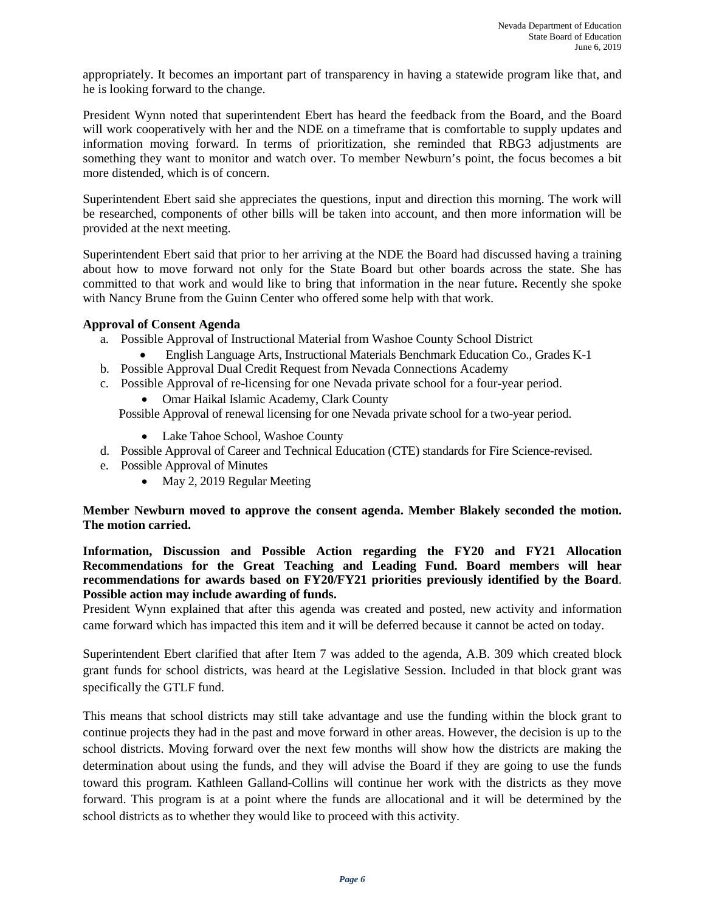appropriately. It becomes an important part of transparency in having a statewide program like that, and he is looking forward to the change.

President Wynn noted that superintendent Ebert has heard the feedback from the Board, and the Board will work cooperatively with her and the NDE on a timeframe that is comfortable to supply updates and information moving forward. In terms of prioritization, she reminded that RBG3 adjustments are something they want to monitor and watch over. To member Newburn's point, the focus becomes a bit more distended, which is of concern.

Superintendent Ebert said she appreciates the questions, input and direction this morning. The work will be researched, components of other bills will be taken into account, and then more information will be provided at the next meeting.

Superintendent Ebert said that prior to her arriving at the NDE the Board had discussed having a training about how to move forward not only for the State Board but other boards across the state. She has committed to that work and would like to bring that information in the near future**.** Recently she spoke with Nancy Brune from the Guinn Center who offered some help with that work.

# **Approval of Consent Agenda**

- a. Possible Approval of Instructional Material from Washoe County School District
	- English Language Arts, Instructional Materials Benchmark Education Co., Grades K-1
- b. Possible Approval Dual Credit Request from Nevada Connections Academy
- c. Possible Approval of re-licensing for one Nevada private school for a four-year period.
	- Omar Haikal Islamic Academy, Clark County

Possible Approval of renewal licensing for one Nevada private school for a two-year period.

- Lake Tahoe School, Washoe County
- d. Possible Approval of Career and Technical Education (CTE) standards for Fire Science-revised.
- e. Possible Approval of Minutes
	- May 2, 2019 Regular Meeting

**Member Newburn moved to approve the consent agenda. Member Blakely seconded the motion. The motion carried.**

**Information, Discussion and Possible Action regarding the FY20 and FY21 Allocation Recommendations for the Great Teaching and Leading Fund. Board members will hear recommendations for awards based on FY20/FY21 priorities previously identified by the Board**. **Possible action may include awarding of funds.** 

President Wynn explained that after this agenda was created and posted, new activity and information came forward which has impacted this item and it will be deferred because it cannot be acted on today.

Superintendent Ebert clarified that after Item 7 was added to the agenda, A.B. 309 which created block grant funds for school districts, was heard at the Legislative Session. Included in that block grant was specifically the GTLF fund.

This means that school districts may still take advantage and use the funding within the block grant to continue projects they had in the past and move forward in other areas. However, the decision is up to the school districts. Moving forward over the next few months will show how the districts are making the determination about using the funds, and they will advise the Board if they are going to use the funds toward this program. Kathleen Galland-Collins will continue her work with the districts as they move forward. This program is at a point where the funds are allocational and it will be determined by the school districts as to whether they would like to proceed with this activity.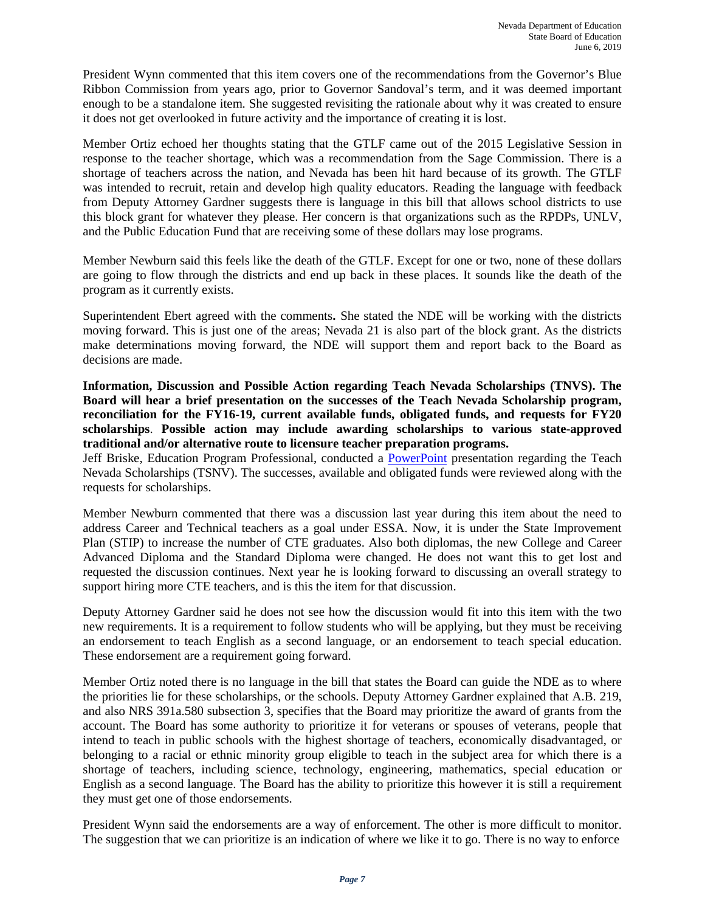President Wynn commented that this item covers one of the recommendations from the Governor's Blue Ribbon Commission from years ago, prior to Governor Sandoval's term, and it was deemed important enough to be a standalone item. She suggested revisiting the rationale about why it was created to ensure it does not get overlooked in future activity and the importance of creating it is lost.

Member Ortiz echoed her thoughts stating that the GTLF came out of the 2015 Legislative Session in response to the teacher shortage, which was a recommendation from the Sage Commission. There is a shortage of teachers across the nation, and Nevada has been hit hard because of its growth. The GTLF was intended to recruit, retain and develop high quality educators. Reading the language with feedback from Deputy Attorney Gardner suggests there is language in this bill that allows school districts to use this block grant for whatever they please. Her concern is that organizations such as the RPDPs, UNLV, and the Public Education Fund that are receiving some of these dollars may lose programs.

Member Newburn said this feels like the death of the GTLF. Except for one or two, none of these dollars are going to flow through the districts and end up back in these places. It sounds like the death of the program as it currently exists.

Superintendent Ebert agreed with the comments**.** She stated the NDE will be working with the districts moving forward. This is just one of the areas; Nevada 21 is also part of the block grant. As the districts make determinations moving forward, the NDE will support them and report back to the Board as decisions are made.

**Information, Discussion and Possible Action regarding Teach Nevada Scholarships (TNVS). The Board will hear a brief presentation on the successes of the Teach Nevada Scholarship program, reconciliation for the FY16-19, current available funds, obligated funds, and requests for FY20 scholarships**. **Possible action may include awarding scholarships to various state-approved traditional and/or alternative route to licensure teacher preparation programs.** 

Jeff Briske, Education Program Professional, conducted a [PowerPoint](http://www.doe.nv.gov/Boards_Commissions_Councils/State_Board_of_Education/2019/June/Support_Materials/) presentation regarding the Teach Nevada Scholarships (TSNV). The successes, available and obligated funds were reviewed along with the requests for scholarships.

Member Newburn commented that there was a discussion last year during this item about the need to address Career and Technical teachers as a goal under ESSA. Now, it is under the State Improvement Plan (STIP) to increase the number of CTE graduates. Also both diplomas, the new College and Career Advanced Diploma and the Standard Diploma were changed. He does not want this to get lost and requested the discussion continues. Next year he is looking forward to discussing an overall strategy to support hiring more CTE teachers, and is this the item for that discussion.

Deputy Attorney Gardner said he does not see how the discussion would fit into this item with the two new requirements. It is a requirement to follow students who will be applying, but they must be receiving an endorsement to teach English as a second language, or an endorsement to teach special education. These endorsement are a requirement going forward.

Member Ortiz noted there is no language in the bill that states the Board can guide the NDE as to where the priorities lie for these scholarships, or the schools. Deputy Attorney Gardner explained that A.B. 219, and also NRS 391a.580 subsection 3, specifies that the Board may prioritize the award of grants from the account. The Board has some authority to prioritize it for veterans or spouses of veterans, people that intend to teach in public schools with the highest shortage of teachers, economically disadvantaged, or belonging to a racial or ethnic minority group eligible to teach in the subject area for which there is a shortage of teachers, including science, technology, engineering, mathematics, special education or English as a second language. The Board has the ability to prioritize this however it is still a requirement they must get one of those endorsements.

President Wynn said the endorsements are a way of enforcement. The other is more difficult to monitor. The suggestion that we can prioritize is an indication of where we like it to go. There is no way to enforce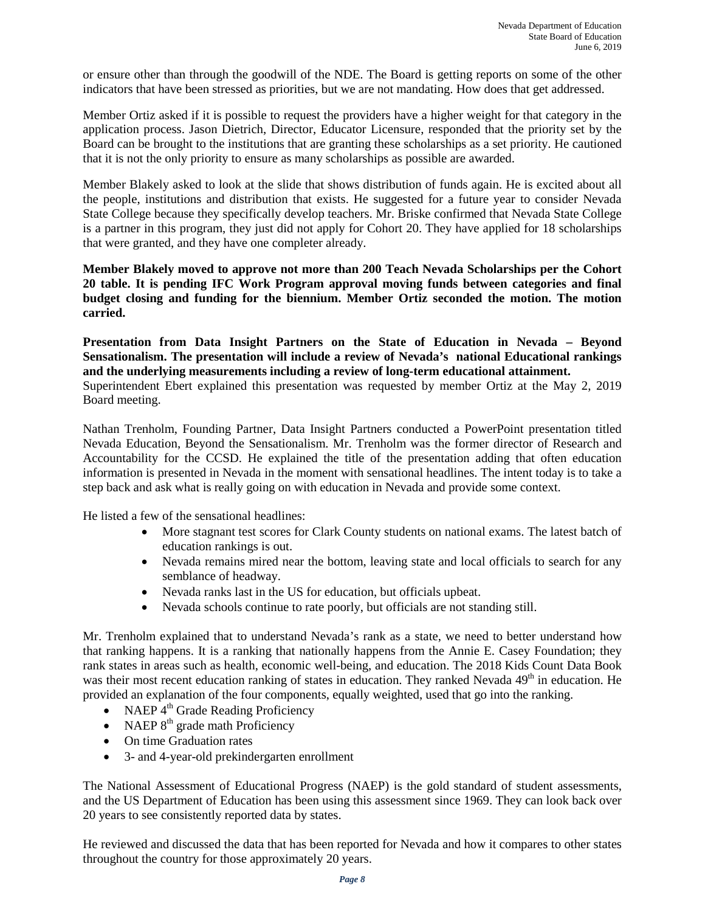or ensure other than through the goodwill of the NDE. The Board is getting reports on some of the other indicators that have been stressed as priorities, but we are not mandating. How does that get addressed.

Member Ortiz asked if it is possible to request the providers have a higher weight for that category in the application process. Jason Dietrich, Director, Educator Licensure, responded that the priority set by the Board can be brought to the institutions that are granting these scholarships as a set priority. He cautioned that it is not the only priority to ensure as many scholarships as possible are awarded.

Member Blakely asked to look at the slide that shows distribution of funds again. He is excited about all the people, institutions and distribution that exists. He suggested for a future year to consider Nevada State College because they specifically develop teachers. Mr. Briske confirmed that Nevada State College is a partner in this program, they just did not apply for Cohort 20. They have applied for 18 scholarships that were granted, and they have one completer already.

**Member Blakely moved to approve not more than 200 Teach Nevada Scholarships per the Cohort 20 table. It is pending IFC Work Program approval moving funds between categories and final budget closing and funding for the biennium. Member Ortiz seconded the motion. The motion carried.** 

**Presentation from Data Insight Partners on the State of Education in Nevada – Beyond Sensationalism. The presentation will include a review of Nevada's national Educational rankings and the underlying measurements including a review of long-term educational attainment.** 

Superintendent Ebert explained this presentation was requested by member Ortiz at the May 2, 2019 Board meeting.

Nathan Trenholm, Founding Partner, Data Insight Partners conducted a PowerPoint presentation titled Nevada Education, Beyond the Sensationalism. Mr. Trenholm was the former director of Research and Accountability for the CCSD. He explained the title of the presentation adding that often education information is presented in Nevada in the moment with sensational headlines. The intent today is to take a step back and ask what is really going on with education in Nevada and provide some context.

He listed a few of the sensational headlines:

- More stagnant test scores for Clark County students on national exams. The latest batch of education rankings is out.
- Nevada remains mired near the bottom, leaving state and local officials to search for any semblance of headway.
- Nevada ranks last in the US for education, but officials upbeat.
- Nevada schools continue to rate poorly, but officials are not standing still.

Mr. Trenholm explained that to understand Nevada's rank as a state, we need to better understand how that ranking happens. It is a ranking that nationally happens from the Annie E. Casey Foundation; they rank states in areas such as health, economic well-being, and education. The 2018 Kids Count Data Book was their most recent education ranking of states in education. They ranked Nevada 49<sup>th</sup> in education. He provided an explanation of the four components, equally weighted, used that go into the ranking.

- NAEP  $4^{th}$  Grade Reading Proficiency
- NAEP  $8<sup>th</sup>$  grade math Proficiency
- On time Graduation rates
- 3- and 4-year-old prekindergarten enrollment

The National Assessment of Educational Progress (NAEP) is the gold standard of student assessments, and the US Department of Education has been using this assessment since 1969. They can look back over 20 years to see consistently reported data by states.

He reviewed and discussed the data that has been reported for Nevada and how it compares to other states throughout the country for those approximately 20 years.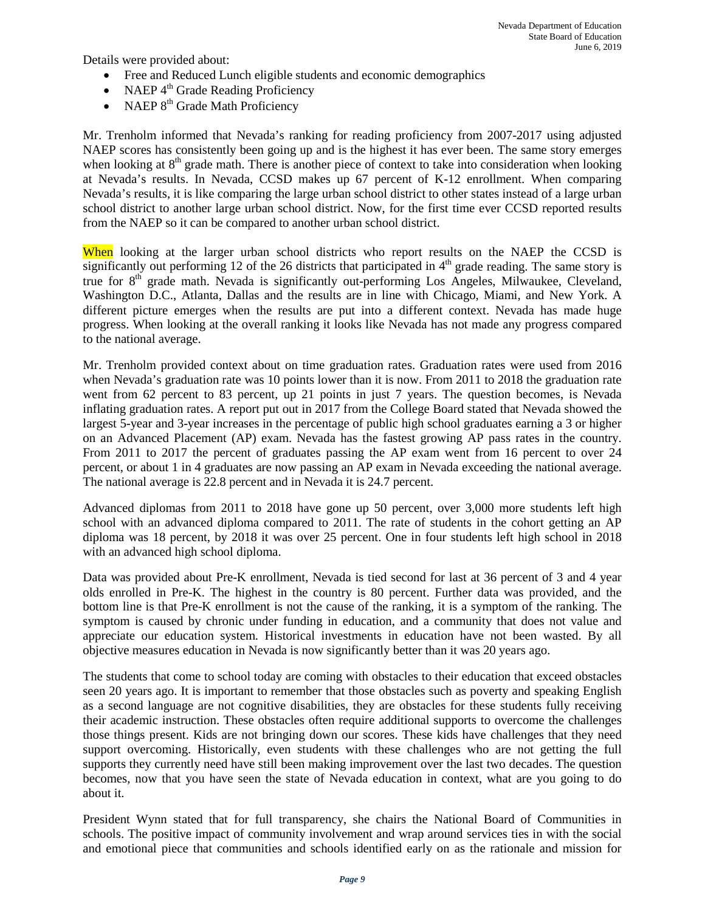Details were provided about:

- Free and Reduced Lunch eligible students and economic demographics
- NAEP  $4<sup>th</sup>$  Grade Reading Proficiency
- NAEP  $8<sup>th</sup>$  Grade Math Proficiency

Mr. Trenholm informed that Nevada's ranking for reading proficiency from 2007-2017 using adjusted NAEP scores has consistently been going up and is the highest it has ever been. The same story emerges when looking at  $8<sup>th</sup>$  grade math. There is another piece of context to take into consideration when looking at Nevada's results. In Nevada, CCSD makes up 67 percent of K-12 enrollment. When comparing Nevada's results, it is like comparing the large urban school district to other states instead of a large urban school district to another large urban school district. Now, for the first time ever CCSD reported results from the NAEP so it can be compared to another urban school district.

When looking at the larger urban school districts who report results on the NAEP the CCSD is significantly out performing 12 of the 26 districts that participated in  $4<sup>th</sup>$  grade reading. The same story is true for 8<sup>th</sup> grade math. Nevada is significantly out-performing Los Angeles, Milwaukee, Cleveland, Washington D.C., Atlanta, Dallas and the results are in line with Chicago, Miami, and New York. A different picture emerges when the results are put into a different context. Nevada has made huge progress. When looking at the overall ranking it looks like Nevada has not made any progress compared to the national average.

Mr. Trenholm provided context about on time graduation rates. Graduation rates were used from 2016 when Nevada's graduation rate was 10 points lower than it is now. From 2011 to 2018 the graduation rate went from 62 percent to 83 percent, up 21 points in just 7 years. The question becomes, is Nevada inflating graduation rates. A report put out in 2017 from the College Board stated that Nevada showed the largest 5-year and 3-year increases in the percentage of public high school graduates earning a 3 or higher on an Advanced Placement (AP) exam. Nevada has the fastest growing AP pass rates in the country. From 2011 to 2017 the percent of graduates passing the AP exam went from 16 percent to over 24 percent, or about 1 in 4 graduates are now passing an AP exam in Nevada exceeding the national average. The national average is 22.8 percent and in Nevada it is 24.7 percent.

Advanced diplomas from 2011 to 2018 have gone up 50 percent, over 3,000 more students left high school with an advanced diploma compared to 2011. The rate of students in the cohort getting an AP diploma was 18 percent, by 2018 it was over 25 percent. One in four students left high school in 2018 with an advanced high school diploma.

Data was provided about Pre-K enrollment, Nevada is tied second for last at 36 percent of 3 and 4 year olds enrolled in Pre-K. The highest in the country is 80 percent. Further data was provided, and the bottom line is that Pre-K enrollment is not the cause of the ranking, it is a symptom of the ranking. The symptom is caused by chronic under funding in education, and a community that does not value and appreciate our education system. Historical investments in education have not been wasted. By all objective measures education in Nevada is now significantly better than it was 20 years ago.

The students that come to school today are coming with obstacles to their education that exceed obstacles seen 20 years ago. It is important to remember that those obstacles such as poverty and speaking English as a second language are not cognitive disabilities, they are obstacles for these students fully receiving their academic instruction. These obstacles often require additional supports to overcome the challenges those things present. Kids are not bringing down our scores. These kids have challenges that they need support overcoming. Historically, even students with these challenges who are not getting the full supports they currently need have still been making improvement over the last two decades. The question becomes, now that you have seen the state of Nevada education in context, what are you going to do about it.

President Wynn stated that for full transparency, she chairs the National Board of Communities in schools. The positive impact of community involvement and wrap around services ties in with the social and emotional piece that communities and schools identified early on as the rationale and mission for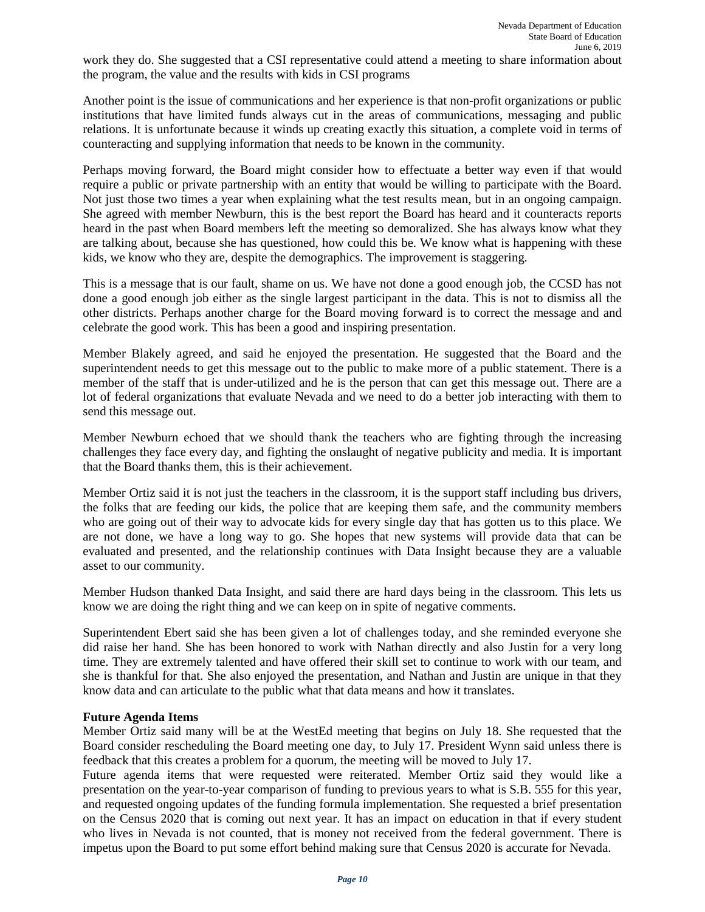work they do. She suggested that a CSI representative could attend a meeting to share information about the program, the value and the results with kids in CSI programs

Another point is the issue of communications and her experience is that non-profit organizations or public institutions that have limited funds always cut in the areas of communications, messaging and public relations. It is unfortunate because it winds up creating exactly this situation, a complete void in terms of counteracting and supplying information that needs to be known in the community.

Perhaps moving forward, the Board might consider how to effectuate a better way even if that would require a public or private partnership with an entity that would be willing to participate with the Board. Not just those two times a year when explaining what the test results mean, but in an ongoing campaign. She agreed with member Newburn, this is the best report the Board has heard and it counteracts reports heard in the past when Board members left the meeting so demoralized. She has always know what they are talking about, because she has questioned, how could this be. We know what is happening with these kids, we know who they are, despite the demographics. The improvement is staggering.

This is a message that is our fault, shame on us. We have not done a good enough job, the CCSD has not done a good enough job either as the single largest participant in the data. This is not to dismiss all the other districts. Perhaps another charge for the Board moving forward is to correct the message and and celebrate the good work. This has been a good and inspiring presentation.

Member Blakely agreed, and said he enjoyed the presentation. He suggested that the Board and the superintendent needs to get this message out to the public to make more of a public statement. There is a member of the staff that is under-utilized and he is the person that can get this message out. There are a lot of federal organizations that evaluate Nevada and we need to do a better job interacting with them to send this message out.

Member Newburn echoed that we should thank the teachers who are fighting through the increasing challenges they face every day, and fighting the onslaught of negative publicity and media. It is important that the Board thanks them, this is their achievement.

Member Ortiz said it is not just the teachers in the classroom, it is the support staff including bus drivers, the folks that are feeding our kids, the police that are keeping them safe, and the community members who are going out of their way to advocate kids for every single day that has gotten us to this place. We are not done, we have a long way to go. She hopes that new systems will provide data that can be evaluated and presented, and the relationship continues with Data Insight because they are a valuable asset to our community.

Member Hudson thanked Data Insight, and said there are hard days being in the classroom. This lets us know we are doing the right thing and we can keep on in spite of negative comments.

Superintendent Ebert said she has been given a lot of challenges today, and she reminded everyone she did raise her hand. She has been honored to work with Nathan directly and also Justin for a very long time. They are extremely talented and have offered their skill set to continue to work with our team, and she is thankful for that. She also enjoyed the presentation, and Nathan and Justin are unique in that they know data and can articulate to the public what that data means and how it translates.

# **Future Agenda Items**

Member Ortiz said many will be at the WestEd meeting that begins on July 18. She requested that the Board consider rescheduling the Board meeting one day, to July 17. President Wynn said unless there is feedback that this creates a problem for a quorum, the meeting will be moved to July 17.

Future agenda items that were requested were reiterated. Member Ortiz said they would like a presentation on the year-to-year comparison of funding to previous years to what is S.B. 555 for this year, and requested ongoing updates of the funding formula implementation. She requested a brief presentation on the Census 2020 that is coming out next year. It has an impact on education in that if every student who lives in Nevada is not counted, that is money not received from the federal government. There is impetus upon the Board to put some effort behind making sure that Census 2020 is accurate for Nevada.